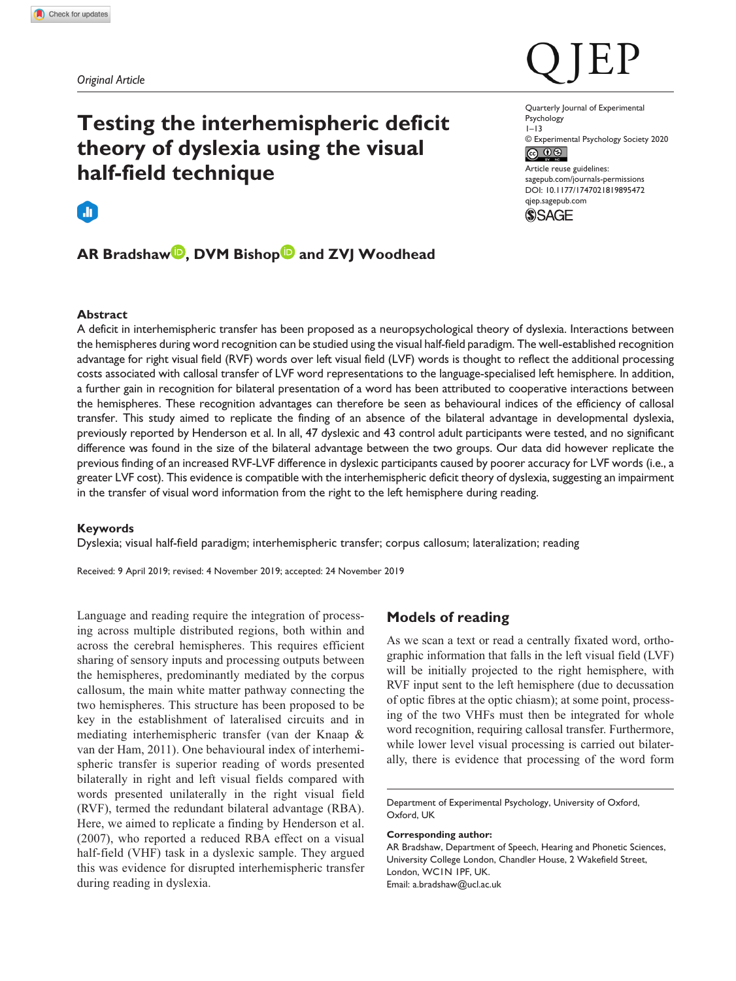# **Testing the interhemispheric deficit theory of dyslexia using the visual half-field technique**

# m

# **AR Bradshaw , DVM Bishop and ZVJ Woodhead**

#### Quarterly Journal of Experimental Psychology 1–13 © Experimental Psychology Society 2020 Article reuse guidelines:

[sagepub.com/journals-permissions](https://uk.sagepub.com/en-gb/journals-permissions) DOI: 10.1177/1747021819895472 [qjep.sagepub.com](http://qjep.sagepub.com) **SSAGE** 

# **Abstract**

A deficit in interhemispheric transfer has been proposed as a neuropsychological theory of dyslexia. Interactions between the hemispheres during word recognition can be studied using the visual half-field paradigm. The well-established recognition advantage for right visual field (RVF) words over left visual field (LVF) words is thought to reflect the additional processing costs associated with callosal transfer of LVF word representations to the language-specialised left hemisphere. In addition, a further gain in recognition for bilateral presentation of a word has been attributed to cooperative interactions between the hemispheres. These recognition advantages can therefore be seen as behavioural indices of the efficiency of callosal transfer. This study aimed to replicate the finding of an absence of the bilateral advantage in developmental dyslexia, previously reported by Henderson et al. In all, 47 dyslexic and 43 control adult participants were tested, and no significant difference was found in the size of the bilateral advantage between the two groups. Our data did however replicate the previous finding of an increased RVF-LVF difference in dyslexic participants caused by poorer accuracy for LVF words (i.e., a greater LVF cost). This evidence is compatible with the interhemispheric deficit theory of dyslexia, suggesting an impairment in the transfer of visual word information from the right to the left hemisphere during reading.

# **Keywords**

Dyslexia; visual half-field paradigm; interhemispheric transfer; corpus callosum; lateralization; reading

Received: 9 April 2019; revised: 4 November 2019; accepted: 24 November 2019

Language and reading require the integration of processing across multiple distributed regions, both within and across the cerebral hemispheres. This requires efficient sharing of sensory inputs and processing outputs between the hemispheres, predominantly mediated by the corpus callosum, the main white matter pathway connecting the two hemispheres. This structure has been proposed to be key in the establishment of lateralised circuits and in mediating interhemispheric transfer (van der Knaap & van der Ham, 2011). One behavioural index of interhemispheric transfer is superior reading of words presented bilaterally in right and left visual fields compared with words presented unilaterally in the right visual field (RVF), termed the redundant bilateral advantage (RBA). Here, we aimed to replicate a finding by Henderson et al. (2007), who reported a reduced RBA effect on a visual half-field (VHF) task in a dyslexic sample. They argued this was evidence for disrupted interhemispheric transfer during reading in dyslexia.

# **Models of reading**

As we scan a text or read a centrally fixated word, orthographic information that falls in the left visual field (LVF) will be initially projected to the right hemisphere, with RVF input sent to the left hemisphere (due to decussation of optic fibres at the optic chiasm); at some point, processing of the two VHFs must then be integrated for whole word recognition, requiring callosal transfer. Furthermore, while lower level visual processing is carried out bilaterally, there is evidence that processing of the word form

#### **Corresponding author:**

AR Bradshaw, Department of Speech, Hearing and Phonetic Sciences, University College London, Chandler House, 2 Wakefield Street, London, WC1N 1PF, UK. Email: [a.bradshaw@ucl.ac.uk](mailto:a.bradshaw@ucl.ac.uk)

Department of Experimental Psychology, University of Oxford, Oxford, UK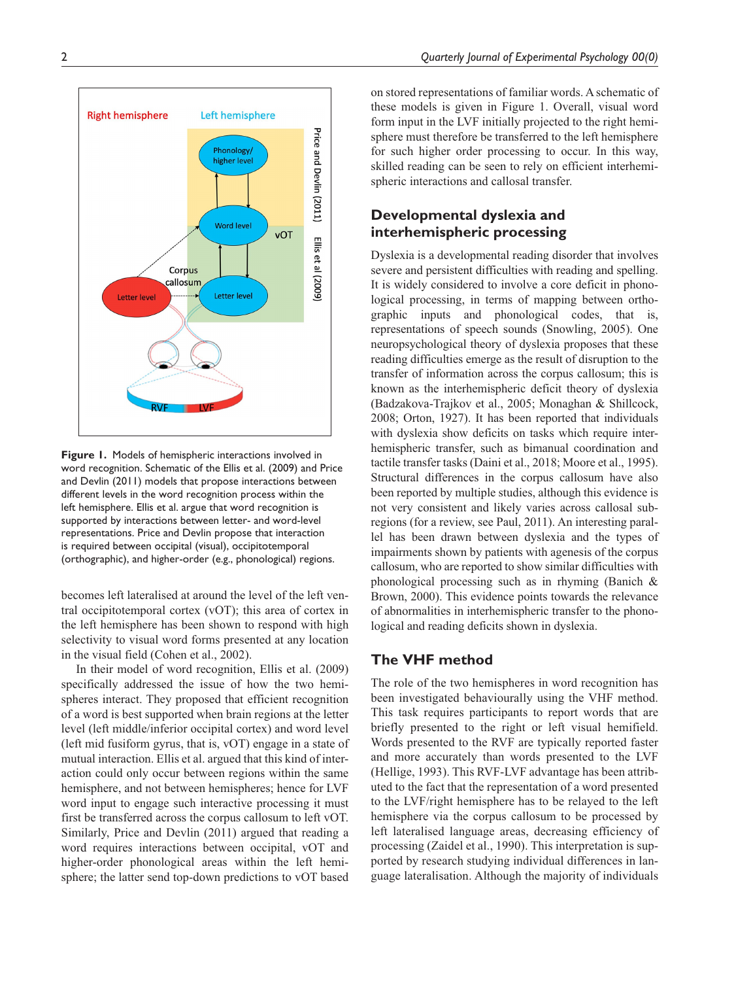

**Figure 1.** Models of hemispheric interactions involved in word recognition. Schematic of the Ellis et al. (2009) and Price and Devlin (2011) models that propose interactions between different levels in the word recognition process within the left hemisphere. Ellis et al. argue that word recognition is supported by interactions between letter- and word-level representations. Price and Devlin propose that interaction is required between occipital (visual), occipitotemporal (orthographic), and higher-order (e.g., phonological) regions.

becomes left lateralised at around the level of the left ventral occipitotemporal cortex (vOT); this area of cortex in the left hemisphere has been shown to respond with high selectivity to visual word forms presented at any location in the visual field (Cohen et al., 2002).

In their model of word recognition, Ellis et al. (2009) specifically addressed the issue of how the two hemispheres interact. They proposed that efficient recognition of a word is best supported when brain regions at the letter level (left middle/inferior occipital cortex) and word level (left mid fusiform gyrus, that is, vOT) engage in a state of mutual interaction. Ellis et al. argued that this kind of interaction could only occur between regions within the same hemisphere, and not between hemispheres; hence for LVF word input to engage such interactive processing it must first be transferred across the corpus callosum to left vOT. Similarly, Price and Devlin (2011) argued that reading a word requires interactions between occipital, vOT and higher-order phonological areas within the left hemisphere; the latter send top-down predictions to vOT based

on stored representations of familiar words. A schematic of these models is given in Figure 1. Overall, visual word form input in the LVF initially projected to the right hemisphere must therefore be transferred to the left hemisphere for such higher order processing to occur. In this way, skilled reading can be seen to rely on efficient interhemispheric interactions and callosal transfer.

# **Developmental dyslexia and interhemispheric processing**

Dyslexia is a developmental reading disorder that involves severe and persistent difficulties with reading and spelling. It is widely considered to involve a core deficit in phonological processing, in terms of mapping between orthographic inputs and phonological codes, that is, representations of speech sounds (Snowling, 2005). One neuropsychological theory of dyslexia proposes that these reading difficulties emerge as the result of disruption to the transfer of information across the corpus callosum; this is known as the interhemispheric deficit theory of dyslexia (Badzakova-Trajkov et al., 2005; Monaghan & Shillcock, 2008; Orton, 1927). It has been reported that individuals with dyslexia show deficits on tasks which require interhemispheric transfer, such as bimanual coordination and tactile transfer tasks (Daini et al., 2018; Moore et al., 1995). Structural differences in the corpus callosum have also been reported by multiple studies, although this evidence is not very consistent and likely varies across callosal subregions (for a review, see Paul, 2011). An interesting parallel has been drawn between dyslexia and the types of impairments shown by patients with agenesis of the corpus callosum, who are reported to show similar difficulties with phonological processing such as in rhyming (Banich & Brown, 2000). This evidence points towards the relevance of abnormalities in interhemispheric transfer to the phonological and reading deficits shown in dyslexia.

# **The VHF method**

The role of the two hemispheres in word recognition has been investigated behaviourally using the VHF method. This task requires participants to report words that are briefly presented to the right or left visual hemifield. Words presented to the RVF are typically reported faster and more accurately than words presented to the LVF (Hellige, 1993). This RVF-LVF advantage has been attributed to the fact that the representation of a word presented to the LVF/right hemisphere has to be relayed to the left hemisphere via the corpus callosum to be processed by left lateralised language areas, decreasing efficiency of processing (Zaidel et al., 1990). This interpretation is supported by research studying individual differences in language lateralisation. Although the majority of individuals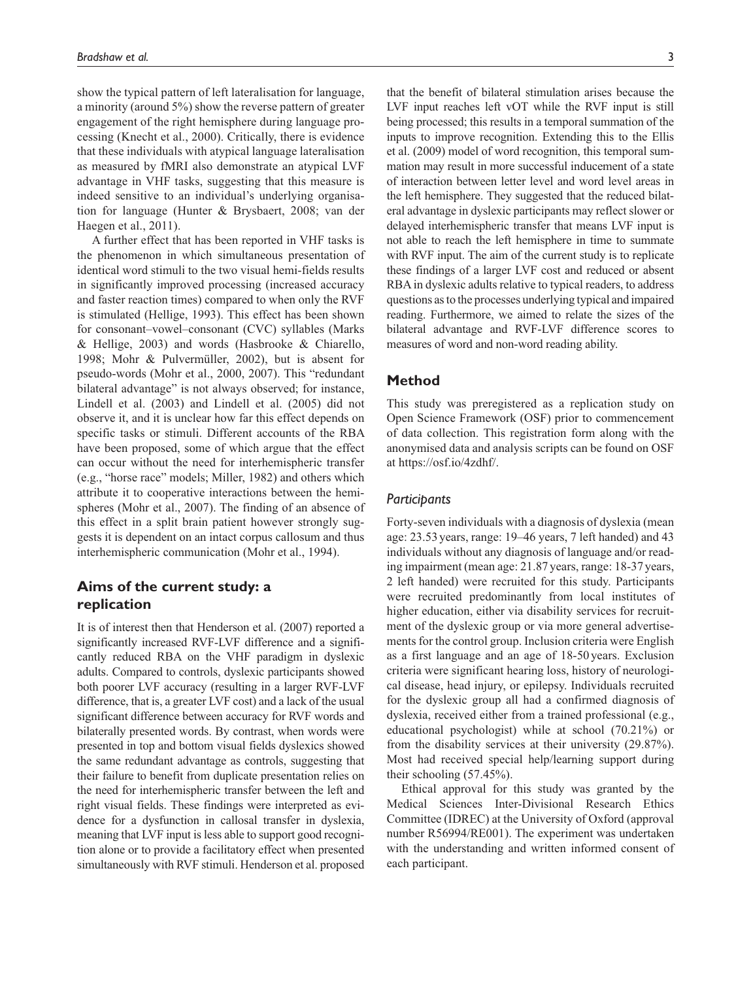show the typical pattern of left lateralisation for language, a minority (around 5%) show the reverse pattern of greater engagement of the right hemisphere during language processing (Knecht et al., 2000). Critically, there is evidence that these individuals with atypical language lateralisation as measured by fMRI also demonstrate an atypical LVF advantage in VHF tasks, suggesting that this measure is indeed sensitive to an individual's underlying organisation for language (Hunter & Brysbaert, 2008; van der Haegen et al., 2011).

A further effect that has been reported in VHF tasks is the phenomenon in which simultaneous presentation of identical word stimuli to the two visual hemi-fields results in significantly improved processing (increased accuracy and faster reaction times) compared to when only the RVF is stimulated (Hellige, 1993). This effect has been shown for consonant–vowel–consonant (CVC) syllables (Marks & Hellige, 2003) and words (Hasbrooke & Chiarello, 1998; Mohr & Pulvermüller, 2002), but is absent for pseudo-words (Mohr et al., 2000, 2007). This "redundant bilateral advantage" is not always observed; for instance, Lindell et al. (2003) and Lindell et al. (2005) did not observe it, and it is unclear how far this effect depends on specific tasks or stimuli. Different accounts of the RBA have been proposed, some of which argue that the effect can occur without the need for interhemispheric transfer (e.g., "horse race" models; Miller, 1982) and others which attribute it to cooperative interactions between the hemispheres (Mohr et al., 2007). The finding of an absence of this effect in a split brain patient however strongly suggests it is dependent on an intact corpus callosum and thus interhemispheric communication (Mohr et al., 1994).

# **Aims of the current study: a replication**

It is of interest then that Henderson et al. (2007) reported a significantly increased RVF-LVF difference and a significantly reduced RBA on the VHF paradigm in dyslexic adults. Compared to controls, dyslexic participants showed both poorer LVF accuracy (resulting in a larger RVF-LVF difference, that is, a greater LVF cost) and a lack of the usual significant difference between accuracy for RVF words and bilaterally presented words. By contrast, when words were presented in top and bottom visual fields dyslexics showed the same redundant advantage as controls, suggesting that their failure to benefit from duplicate presentation relies on the need for interhemispheric transfer between the left and right visual fields. These findings were interpreted as evidence for a dysfunction in callosal transfer in dyslexia, meaning that LVF input is less able to support good recognition alone or to provide a facilitatory effect when presented simultaneously with RVF stimuli. Henderson et al. proposed that the benefit of bilateral stimulation arises because the LVF input reaches left vOT while the RVF input is still being processed; this results in a temporal summation of the inputs to improve recognition. Extending this to the Ellis et al. (2009) model of word recognition, this temporal summation may result in more successful inducement of a state of interaction between letter level and word level areas in the left hemisphere. They suggested that the reduced bilateral advantage in dyslexic participants may reflect slower or delayed interhemispheric transfer that means LVF input is not able to reach the left hemisphere in time to summate with RVF input. The aim of the current study is to replicate these findings of a larger LVF cost and reduced or absent RBA in dyslexic adults relative to typical readers, to address questions as to the processes underlying typical and impaired reading. Furthermore, we aimed to relate the sizes of the bilateral advantage and RVF-LVF difference scores to measures of word and non-word reading ability.

# **Method**

This study was preregistered as a replication study on Open Science Framework (OSF) prior to commencement of data collection. This registration form along with the anonymised data and analysis scripts can be found on OSF at <https://osf.io/4zdhf/>.

# *Participants*

Forty-seven individuals with a diagnosis of dyslexia (mean age: 23.53years, range: 19–46 years, 7 left handed) and 43 individuals without any diagnosis of language and/or reading impairment (mean age: 21.87 years, range: 18-37years, 2 left handed) were recruited for this study. Participants were recruited predominantly from local institutes of higher education, either via disability services for recruitment of the dyslexic group or via more general advertisements for the control group. Inclusion criteria were English as a first language and an age of 18-50 years. Exclusion criteria were significant hearing loss, history of neurological disease, head injury, or epilepsy. Individuals recruited for the dyslexic group all had a confirmed diagnosis of dyslexia, received either from a trained professional (e.g., educational psychologist) while at school (70.21%) or from the disability services at their university (29.87%). Most had received special help/learning support during their schooling (57.45%).

Ethical approval for this study was granted by the Medical Sciences Inter-Divisional Research Ethics Committee (IDREC) at the University of Oxford (approval number R56994/RE001). The experiment was undertaken with the understanding and written informed consent of each participant.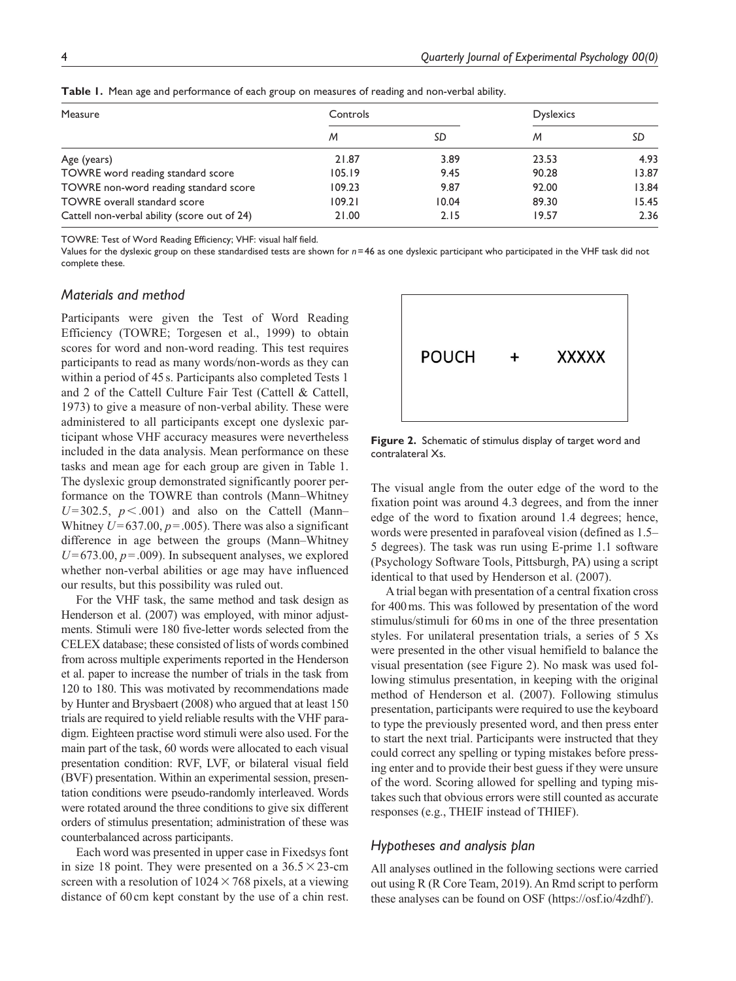| Measure                                      | Controls |       | <b>Dyslexics</b> |       |
|----------------------------------------------|----------|-------|------------------|-------|
|                                              | M        | SD    | M                | SD    |
| Age (years)                                  | 21.87    | 3.89  | 23.53            | 4.93  |
| TOWRE word reading standard score            | 105.19   | 9.45  | 90.28            | 13.87 |
| TOWRE non-word reading standard score        | 109.23   | 9.87  | 92.00            | 13.84 |
| <b>TOWRE</b> overall standard score          | 109.21   | 10.04 | 89.30            | 15.45 |
| Cattell non-verbal ability (score out of 24) | 21.00    | 2.15  | 19.57            | 2.36  |

**Table 1.** Mean age and performance of each group on measures of reading and non-verbal ability.

TOWRE: Test of Word Reading Efficiency; VHF: visual half field.

Values for the dyslexic group on these standardised tests are shown for *n*=46 as one dyslexic participant who participated in the VHF task did not complete these.

# *Materials and method*

Participants were given the Test of Word Reading Efficiency (TOWRE; Torgesen et al., 1999) to obtain scores for word and non-word reading. This test requires participants to read as many words/non-words as they can within a period of 45 s. Participants also completed Tests 1 and 2 of the Cattell Culture Fair Test (Cattell & Cattell, 1973) to give a measure of non-verbal ability. These were administered to all participants except one dyslexic participant whose VHF accuracy measures were nevertheless included in the data analysis. Mean performance on these tasks and mean age for each group are given in Table 1. The dyslexic group demonstrated significantly poorer performance on the TOWRE than controls (Mann–Whitney  $U=302.5$ ,  $p < .001$ ) and also on the Cattell (Mann– Whitney  $U=637.00, p=.005$ . There was also a significant difference in age between the groups (Mann–Whitney  $U=673.00, p=.009$ . In subsequent analyses, we explored whether non-verbal abilities or age may have influenced our results, but this possibility was ruled out.

For the VHF task, the same method and task design as Henderson et al. (2007) was employed, with minor adjustments. Stimuli were 180 five-letter words selected from the CELEX database; these consisted of lists of words combined from across multiple experiments reported in the Henderson et al. paper to increase the number of trials in the task from 120 to 180. This was motivated by recommendations made by Hunter and Brysbaert (2008) who argued that at least 150 trials are required to yield reliable results with the VHF paradigm. Eighteen practise word stimuli were also used. For the main part of the task, 60 words were allocated to each visual presentation condition: RVF, LVF, or bilateral visual field (BVF) presentation. Within an experimental session, presentation conditions were pseudo-randomly interleaved. Words were rotated around the three conditions to give six different orders of stimulus presentation; administration of these was counterbalanced across participants.

Each word was presented in upper case in Fixedsys font in size 18 point. They were presented on a  $36.5 \times 23$ -cm screen with a resolution of  $1024 \times 768$  pixels, at a viewing distance of 60cm kept constant by the use of a chin rest.



**Figure 2.** Schematic of stimulus display of target word and contralateral Xs.

The visual angle from the outer edge of the word to the fixation point was around 4.3 degrees, and from the inner edge of the word to fixation around 1.4 degrees; hence, words were presented in parafoveal vision (defined as 1.5– 5 degrees). The task was run using E-prime 1.1 software (Psychology Software Tools, Pittsburgh, PA) using a script identical to that used by Henderson et al. (2007).

A trial began with presentation of a central fixation cross for 400ms. This was followed by presentation of the word stimulus/stimuli for 60ms in one of the three presentation styles. For unilateral presentation trials, a series of 5 Xs were presented in the other visual hemifield to balance the visual presentation (see Figure 2). No mask was used following stimulus presentation, in keeping with the original method of Henderson et al. (2007). Following stimulus presentation, participants were required to use the keyboard to type the previously presented word, and then press enter to start the next trial. Participants were instructed that they could correct any spelling or typing mistakes before pressing enter and to provide their best guess if they were unsure of the word. Scoring allowed for spelling and typing mistakes such that obvious errors were still counted as accurate responses (e.g., THEIF instead of THIEF).

# *Hypotheses and analysis plan*

All analyses outlined in the following sections were carried out using R (R Core Team, 2019). An Rmd script to perform these analyses can be found on OSF [\(https://osf.io/4zdhf/](https://osf.io/4zdhf/)).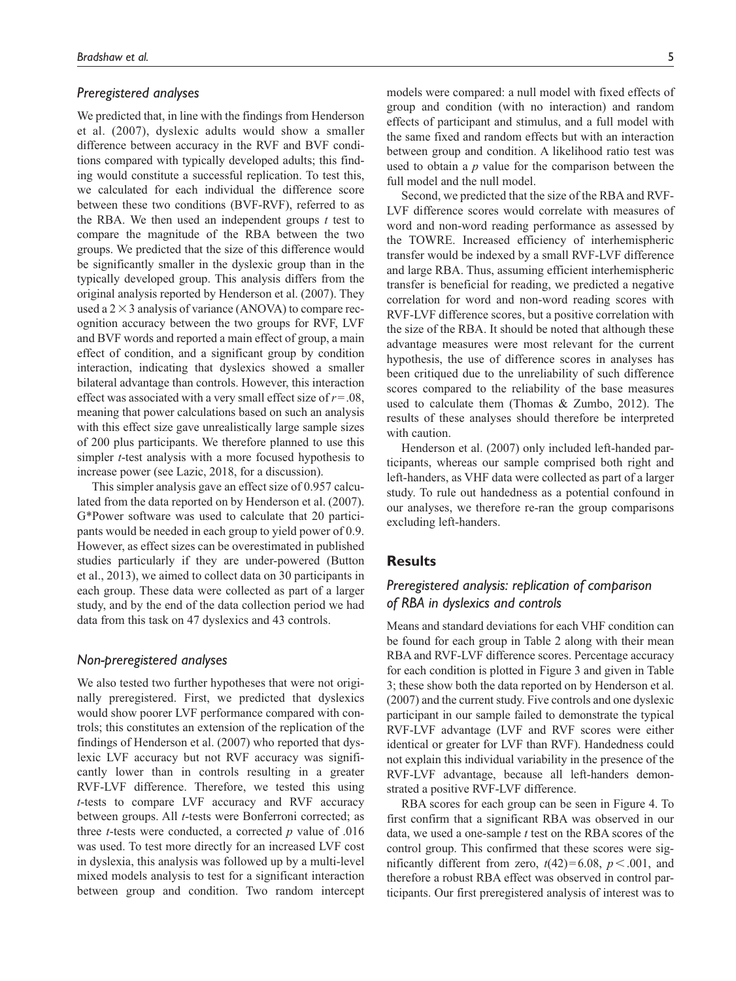# *Preregistered analyses*

We predicted that, in line with the findings from Henderson et al. (2007), dyslexic adults would show a smaller difference between accuracy in the RVF and BVF conditions compared with typically developed adults; this finding would constitute a successful replication. To test this, we calculated for each individual the difference score between these two conditions (BVF-RVF), referred to as the RBA. We then used an independent groups *t* test to compare the magnitude of the RBA between the two groups. We predicted that the size of this difference would be significantly smaller in the dyslexic group than in the typically developed group. This analysis differs from the original analysis reported by Henderson et al. (2007). They used a  $2 \times 3$  analysis of variance (ANOVA) to compare recognition accuracy between the two groups for RVF, LVF and BVF words and reported a main effect of group, a main effect of condition, and a significant group by condition interaction, indicating that dyslexics showed a smaller bilateral advantage than controls. However, this interaction effect was associated with a very small effect size of *r*=.08, meaning that power calculations based on such an analysis with this effect size gave unrealistically large sample sizes of 200 plus participants. We therefore planned to use this simpler *t*-test analysis with a more focused hypothesis to increase power (see Lazic, 2018, for a discussion).

This simpler analysis gave an effect size of 0.957 calculated from the data reported on by Henderson et al. (2007). G\*Power software was used to calculate that 20 participants would be needed in each group to yield power of 0.9. However, as effect sizes can be overestimated in published studies particularly if they are under-powered (Button et al., 2013), we aimed to collect data on 30 participants in each group. These data were collected as part of a larger study, and by the end of the data collection period we had data from this task on 47 dyslexics and 43 controls.

# *Non-preregistered analyses*

We also tested two further hypotheses that were not originally preregistered. First, we predicted that dyslexics would show poorer LVF performance compared with controls; this constitutes an extension of the replication of the findings of Henderson et al. (2007) who reported that dyslexic LVF accuracy but not RVF accuracy was significantly lower than in controls resulting in a greater RVF-LVF difference. Therefore, we tested this using *t*-tests to compare LVF accuracy and RVF accuracy between groups. All *t*-tests were Bonferroni corrected; as three *t*-tests were conducted, a corrected *p* value of .016 was used. To test more directly for an increased LVF cost in dyslexia, this analysis was followed up by a multi-level mixed models analysis to test for a significant interaction between group and condition. Two random intercept models were compared: a null model with fixed effects of group and condition (with no interaction) and random effects of participant and stimulus, and a full model with the same fixed and random effects but with an interaction between group and condition. A likelihood ratio test was used to obtain a *p* value for the comparison between the full model and the null model.

Second, we predicted that the size of the RBA and RVF-LVF difference scores would correlate with measures of word and non-word reading performance as assessed by the TOWRE. Increased efficiency of interhemispheric transfer would be indexed by a small RVF-LVF difference and large RBA. Thus, assuming efficient interhemispheric transfer is beneficial for reading, we predicted a negative correlation for word and non-word reading scores with RVF-LVF difference scores, but a positive correlation with the size of the RBA. It should be noted that although these advantage measures were most relevant for the current hypothesis, the use of difference scores in analyses has been critiqued due to the unreliability of such difference scores compared to the reliability of the base measures used to calculate them (Thomas & Zumbo, 2012). The results of these analyses should therefore be interpreted with caution.

Henderson et al. (2007) only included left-handed participants, whereas our sample comprised both right and left-handers, as VHF data were collected as part of a larger study. To rule out handedness as a potential confound in our analyses, we therefore re-ran the group comparisons excluding left-handers.

# **Results**

# *Preregistered analysis: replication of comparison of RBA in dyslexics and controls*

Means and standard deviations for each VHF condition can be found for each group in Table 2 along with their mean RBA and RVF-LVF difference scores. Percentage accuracy for each condition is plotted in Figure 3 and given in Table 3; these show both the data reported on by Henderson et al. (2007) and the current study. Five controls and one dyslexic participant in our sample failed to demonstrate the typical RVF-LVF advantage (LVF and RVF scores were either identical or greater for LVF than RVF). Handedness could not explain this individual variability in the presence of the RVF-LVF advantage, because all left-handers demonstrated a positive RVF-LVF difference.

RBA scores for each group can be seen in Figure 4. To first confirm that a significant RBA was observed in our data, we used a one-sample *t* test on the RBA scores of the control group. This confirmed that these scores were significantly different from zero,  $t(42)=6.08$ ,  $p < .001$ , and therefore a robust RBA effect was observed in control participants. Our first preregistered analysis of interest was to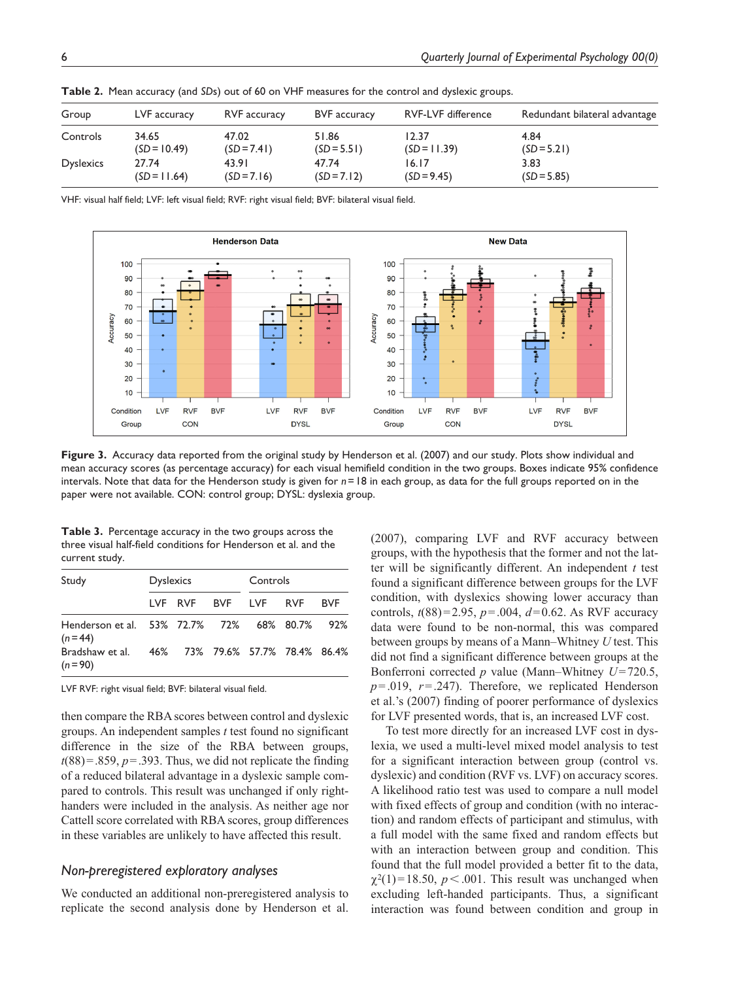| Group            | LVF accuracy   | RVF accuracy  | <b>BVF</b> accuracy | <b>RVF-LVF difference</b> | Redundant bilateral advantage |
|------------------|----------------|---------------|---------------------|---------------------------|-------------------------------|
| Controls         | 34.65          | 47.02         | 51.86               | 12.37                     | 4.84                          |
|                  | $(SD = 10.49)$ | $(SD = 7.41)$ | $(SD = 5.51)$       | $(SD = 11.39)$            | $(SD = 5.21)$                 |
| <b>Dyslexics</b> | 27.74          | 43.91         | 47.74               | 16.17                     | 3.83                          |
|                  | $(SD = 11.64)$ | $(SD = 7.16)$ | $(SD = 7.12)$       | $(SD = 9.45)$             | $(SD = 5.85)$                 |

**Table 2.** Mean accuracy (and *SD*s) out of 60 on VHF measures for the control and dyslexic groups.

VHF: visual half field; LVF: left visual field; RVF: right visual field; BVF: bilateral visual field.



**Figure 3.** Accuracy data reported from the original study by Henderson et al. (2007) and our study. Plots show individual and mean accuracy scores (as percentage accuracy) for each visual hemifield condition in the two groups. Boxes indicate 95% confidence intervals. Note that data for the Henderson study is given for *n*=18 in each group, as data for the full groups reported on in the paper were not available. CON: control group; DYSL: dyslexia group.

**Table 3.** Percentage accuracy in the two groups across the three visual half-field conditions for Henderson et al. and the current study.

| Study                                                       | <b>Dyslexics</b> |                     |  | Controls |  |            |
|-------------------------------------------------------------|------------------|---------------------|--|----------|--|------------|
|                                                             |                  | LVF RVF BVF LVF RVF |  |          |  | <b>BVF</b> |
| Henderson et al. 53% 72.7% 72% 68% 80.7% 92%<br>$(n=44)$    |                  |                     |  |          |  |            |
| Bradshaw et al. 46% 73% 79.6% 57.7% 78.4% 86.4%<br>$(n=90)$ |                  |                     |  |          |  |            |

LVF RVF: right visual field; BVF: bilateral visual field.

then compare the RBA scores between control and dyslexic groups. An independent samples *t* test found no significant difference in the size of the RBA between groups,  $t(88) = .859$ ,  $p = .393$ . Thus, we did not replicate the finding of a reduced bilateral advantage in a dyslexic sample compared to controls. This result was unchanged if only righthanders were included in the analysis. As neither age nor Cattell score correlated with RBA scores, group differences in these variables are unlikely to have affected this result.

# *Non-preregistered exploratory analyses*

We conducted an additional non-preregistered analysis to replicate the second analysis done by Henderson et al. (2007), comparing LVF and RVF accuracy between groups, with the hypothesis that the former and not the latter will be significantly different. An independent *t* test found a significant difference between groups for the LVF condition, with dyslexics showing lower accuracy than controls, *t*(88)=2.95, *p*=.004, *d*=0.62. As RVF accuracy data were found to be non-normal, this was compared between groups by means of a Mann–Whitney *U* test. This did not find a significant difference between groups at the Bonferroni corrected *p* value (Mann–Whitney *U*=720.5, *p*=.019, *r*=.247). Therefore, we replicated Henderson et al.'s (2007) finding of poorer performance of dyslexics for LVF presented words, that is, an increased LVF cost.

To test more directly for an increased LVF cost in dyslexia, we used a multi-level mixed model analysis to test for a significant interaction between group (control vs. dyslexic) and condition (RVF vs. LVF) on accuracy scores. A likelihood ratio test was used to compare a null model with fixed effects of group and condition (with no interaction) and random effects of participant and stimulus, with a full model with the same fixed and random effects but with an interaction between group and condition. This found that the full model provided a better fit to the data,  $\chi^2(1)$ =18.50, *p* < .001. This result was unchanged when excluding left-handed participants. Thus, a significant interaction was found between condition and group in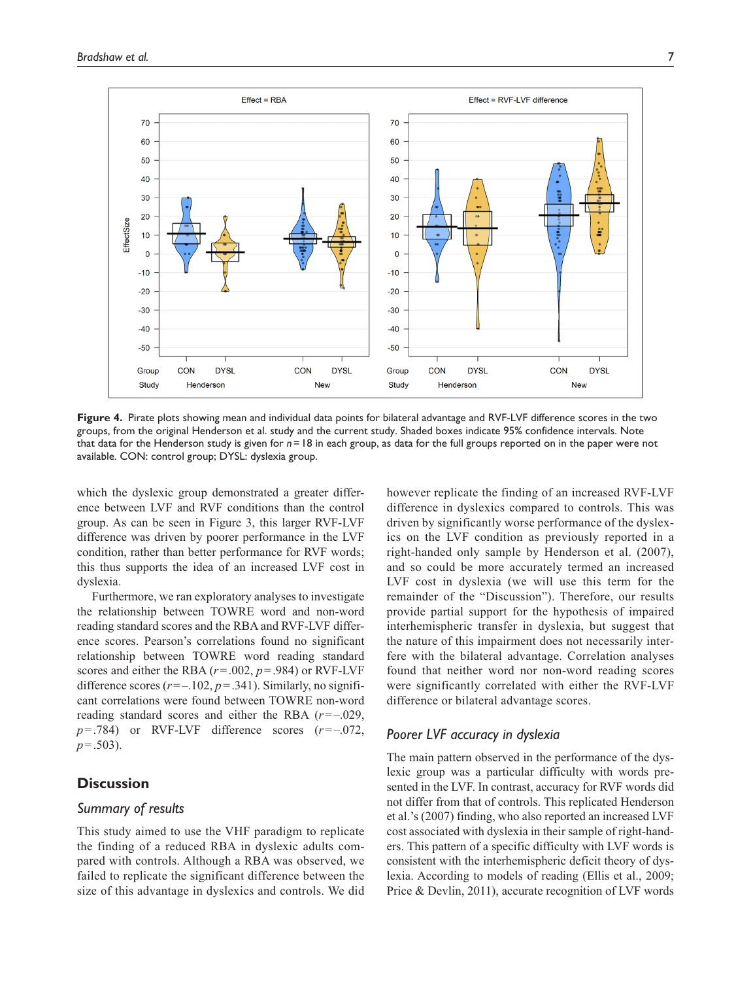

**Figure 4.** Pirate plots showing mean and individual data points for bilateral advantage and RVF-LVF difference scores in the two groups, from the original Henderson et al. study and the current study. Shaded boxes indicate 95% confidence intervals. Note that data for the Henderson study is given for *n*=18 in each group, as data for the full groups reported on in the paper were not available. CON: control group; DYSL: dyslexia group.

which the dyslexic group demonstrated a greater difference between LVF and RVF conditions than the control group. As can be seen in Figure 3, this larger RVF-LVF difference was driven by poorer performance in the LVF condition, rather than better performance for RVF words; this thus supports the idea of an increased LVF cost in dyslexia.

Furthermore, we ran exploratory analyses to investigate the relationship between TOWRE word and non-word reading standard scores and the RBA and RVF-LVF difference scores. Pearson's correlations found no significant relationship between TOWRE word reading standard scores and either the RBA (*r*=.002, *p*=.984) or RVF-LVF difference scores  $(r=-.102, p=.341)$ . Similarly, no significant correlations were found between TOWRE non-word reading standard scores and either the RBA (*r*=–.029,  $p = .784$ ) or RVF-LVF difference scores  $(r = -0.072)$ , *p*=.503).

# **Discussion**

# *Summary of results*

This study aimed to use the VHF paradigm to replicate the finding of a reduced RBA in dyslexic adults compared with controls. Although a RBA was observed, we failed to replicate the significant difference between the size of this advantage in dyslexics and controls. We did however replicate the finding of an increased RVF-LVF difference in dyslexics compared to controls. This was driven by significantly worse performance of the dyslexics on the LVF condition as previously reported in a right-handed only sample by Henderson et al. (2007), and so could be more accurately termed an increased LVF cost in dyslexia (we will use this term for the remainder of the "Discussion"). Therefore, our results provide partial support for the hypothesis of impaired interhemispheric transfer in dyslexia, but suggest that the nature of this impairment does not necessarily interfere with the bilateral advantage. Correlation analyses found that neither word nor non-word reading scores were significantly correlated with either the RVF-LVF difference or bilateral advantage scores.

# *Poorer LVF accuracy in dyslexia*

The main pattern observed in the performance of the dyslexic group was a particular difficulty with words presented in the LVF. In contrast, accuracy for RVF words did not differ from that of controls. This replicated Henderson et al.'s (2007) finding, who also reported an increased LVF cost associated with dyslexia in their sample of right-handers. This pattern of a specific difficulty with LVF words is consistent with the interhemispheric deficit theory of dyslexia. According to models of reading (Ellis et al., 2009; Price & Devlin, 2011), accurate recognition of LVF words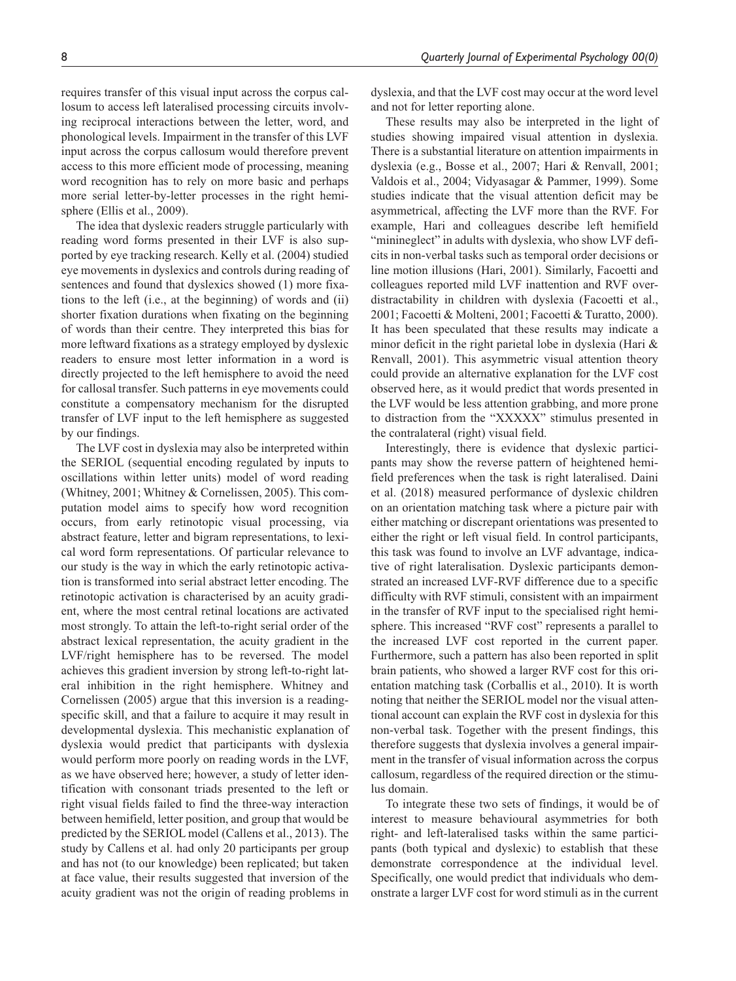requires transfer of this visual input across the corpus callosum to access left lateralised processing circuits involving reciprocal interactions between the letter, word, and phonological levels. Impairment in the transfer of this LVF input across the corpus callosum would therefore prevent access to this more efficient mode of processing, meaning word recognition has to rely on more basic and perhaps more serial letter-by-letter processes in the right hemisphere (Ellis et al., 2009).

The idea that dyslexic readers struggle particularly with reading word forms presented in their LVF is also supported by eye tracking research. Kelly et al. (2004) studied eye movements in dyslexics and controls during reading of sentences and found that dyslexics showed (1) more fixations to the left (i.e., at the beginning) of words and (ii) shorter fixation durations when fixating on the beginning of words than their centre. They interpreted this bias for more leftward fixations as a strategy employed by dyslexic readers to ensure most letter information in a word is directly projected to the left hemisphere to avoid the need for callosal transfer. Such patterns in eye movements could constitute a compensatory mechanism for the disrupted transfer of LVF input to the left hemisphere as suggested by our findings.

The LVF cost in dyslexia may also be interpreted within the SERIOL (sequential encoding regulated by inputs to oscillations within letter units) model of word reading (Whitney, 2001; Whitney & Cornelissen, 2005). This computation model aims to specify how word recognition occurs, from early retinotopic visual processing, via abstract feature, letter and bigram representations, to lexical word form representations. Of particular relevance to our study is the way in which the early retinotopic activation is transformed into serial abstract letter encoding. The retinotopic activation is characterised by an acuity gradient, where the most central retinal locations are activated most strongly. To attain the left-to-right serial order of the abstract lexical representation, the acuity gradient in the LVF/right hemisphere has to be reversed. The model achieves this gradient inversion by strong left-to-right lateral inhibition in the right hemisphere. Whitney and Cornelissen (2005) argue that this inversion is a readingspecific skill, and that a failure to acquire it may result in developmental dyslexia. This mechanistic explanation of dyslexia would predict that participants with dyslexia would perform more poorly on reading words in the LVF, as we have observed here; however, a study of letter identification with consonant triads presented to the left or right visual fields failed to find the three-way interaction between hemifield, letter position, and group that would be predicted by the SERIOL model (Callens et al., 2013). The study by Callens et al. had only 20 participants per group and has not (to our knowledge) been replicated; but taken at face value, their results suggested that inversion of the acuity gradient was not the origin of reading problems in

dyslexia, and that the LVF cost may occur at the word level and not for letter reporting alone.

These results may also be interpreted in the light of studies showing impaired visual attention in dyslexia. There is a substantial literature on attention impairments in dyslexia (e.g., Bosse et al., 2007; Hari & Renvall, 2001; Valdois et al., 2004; Vidyasagar & Pammer, 1999). Some studies indicate that the visual attention deficit may be asymmetrical, affecting the LVF more than the RVF. For example, Hari and colleagues describe left hemifield "minineglect" in adults with dyslexia, who show LVF deficits in non-verbal tasks such as temporal order decisions or line motion illusions (Hari, 2001). Similarly, Facoetti and colleagues reported mild LVF inattention and RVF overdistractability in children with dyslexia (Facoetti et al., 2001; Facoetti & Molteni, 2001; Facoetti & Turatto, 2000). It has been speculated that these results may indicate a minor deficit in the right parietal lobe in dyslexia (Hari & Renvall, 2001). This asymmetric visual attention theory could provide an alternative explanation for the LVF cost observed here, as it would predict that words presented in the LVF would be less attention grabbing, and more prone to distraction from the "XXXXX" stimulus presented in the contralateral (right) visual field.

Interestingly, there is evidence that dyslexic participants may show the reverse pattern of heightened hemifield preferences when the task is right lateralised. Daini et al. (2018) measured performance of dyslexic children on an orientation matching task where a picture pair with either matching or discrepant orientations was presented to either the right or left visual field. In control participants, this task was found to involve an LVF advantage, indicative of right lateralisation. Dyslexic participants demonstrated an increased LVF-RVF difference due to a specific difficulty with RVF stimuli, consistent with an impairment in the transfer of RVF input to the specialised right hemisphere. This increased "RVF cost" represents a parallel to the increased LVF cost reported in the current paper. Furthermore, such a pattern has also been reported in split brain patients, who showed a larger RVF cost for this orientation matching task (Corballis et al., 2010). It is worth noting that neither the SERIOL model nor the visual attentional account can explain the RVF cost in dyslexia for this non-verbal task. Together with the present findings, this therefore suggests that dyslexia involves a general impairment in the transfer of visual information across the corpus callosum, regardless of the required direction or the stimulus domain.

To integrate these two sets of findings, it would be of interest to measure behavioural asymmetries for both right- and left-lateralised tasks within the same participants (both typical and dyslexic) to establish that these demonstrate correspondence at the individual level. Specifically, one would predict that individuals who demonstrate a larger LVF cost for word stimuli as in the current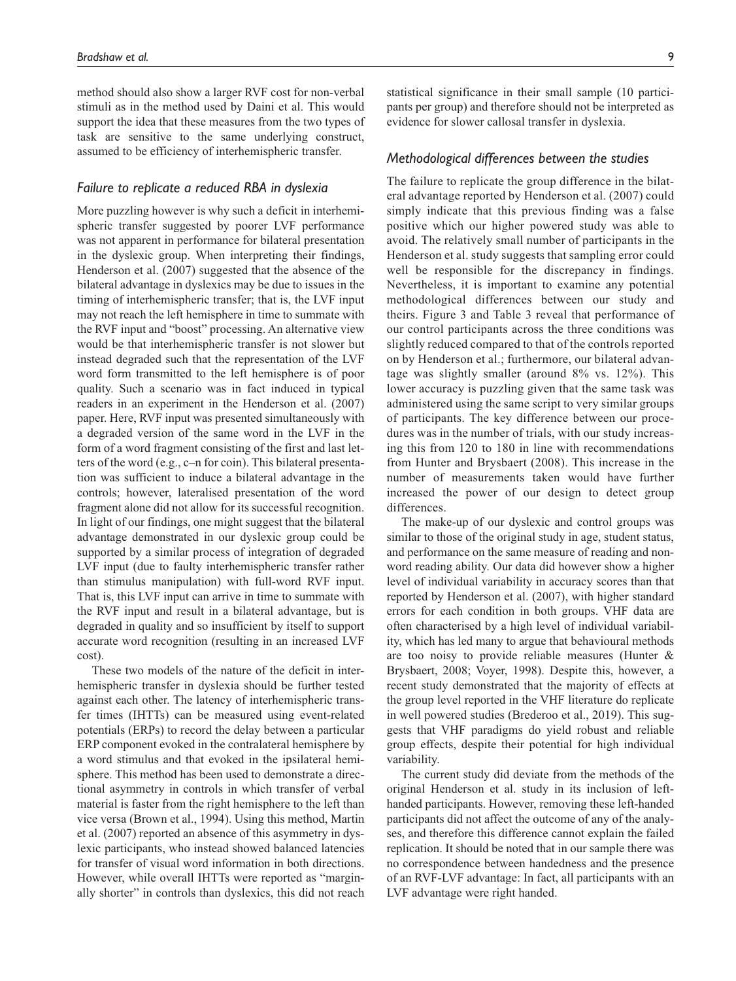method should also show a larger RVF cost for non-verbal stimuli as in the method used by Daini et al. This would support the idea that these measures from the two types of task are sensitive to the same underlying construct, assumed to be efficiency of interhemispheric transfer.

# *Failure to replicate a reduced RBA in dyslexia*

More puzzling however is why such a deficit in interhemispheric transfer suggested by poorer LVF performance was not apparent in performance for bilateral presentation in the dyslexic group. When interpreting their findings, Henderson et al. (2007) suggested that the absence of the bilateral advantage in dyslexics may be due to issues in the timing of interhemispheric transfer; that is, the LVF input may not reach the left hemisphere in time to summate with the RVF input and "boost" processing. An alternative view would be that interhemispheric transfer is not slower but instead degraded such that the representation of the LVF word form transmitted to the left hemisphere is of poor quality. Such a scenario was in fact induced in typical readers in an experiment in the Henderson et al. (2007) paper. Here, RVF input was presented simultaneously with a degraded version of the same word in the LVF in the form of a word fragment consisting of the first and last letters of the word (e.g., c–n for coin). This bilateral presentation was sufficient to induce a bilateral advantage in the controls; however, lateralised presentation of the word fragment alone did not allow for its successful recognition. In light of our findings, one might suggest that the bilateral advantage demonstrated in our dyslexic group could be supported by a similar process of integration of degraded LVF input (due to faulty interhemispheric transfer rather than stimulus manipulation) with full-word RVF input. That is, this LVF input can arrive in time to summate with the RVF input and result in a bilateral advantage, but is degraded in quality and so insufficient by itself to support accurate word recognition (resulting in an increased LVF cost).

These two models of the nature of the deficit in interhemispheric transfer in dyslexia should be further tested against each other. The latency of interhemispheric transfer times (IHTTs) can be measured using event-related potentials (ERPs) to record the delay between a particular ERP component evoked in the contralateral hemisphere by a word stimulus and that evoked in the ipsilateral hemisphere. This method has been used to demonstrate a directional asymmetry in controls in which transfer of verbal material is faster from the right hemisphere to the left than vice versa (Brown et al., 1994). Using this method, Martin et al. (2007) reported an absence of this asymmetry in dyslexic participants, who instead showed balanced latencies for transfer of visual word information in both directions. However, while overall IHTTs were reported as "marginally shorter" in controls than dyslexics, this did not reach statistical significance in their small sample (10 participants per group) and therefore should not be interpreted as evidence for slower callosal transfer in dyslexia.

### *Methodological differences between the studies*

The failure to replicate the group difference in the bilateral advantage reported by Henderson et al. (2007) could simply indicate that this previous finding was a false positive which our higher powered study was able to avoid. The relatively small number of participants in the Henderson et al. study suggests that sampling error could well be responsible for the discrepancy in findings. Nevertheless, it is important to examine any potential methodological differences between our study and theirs. Figure 3 and Table 3 reveal that performance of our control participants across the three conditions was slightly reduced compared to that of the controls reported on by Henderson et al.; furthermore, our bilateral advantage was slightly smaller (around 8% vs. 12%). This lower accuracy is puzzling given that the same task was administered using the same script to very similar groups of participants. The key difference between our procedures was in the number of trials, with our study increasing this from 120 to 180 in line with recommendations from Hunter and Brysbaert (2008). This increase in the number of measurements taken would have further increased the power of our design to detect group differences.

The make-up of our dyslexic and control groups was similar to those of the original study in age, student status, and performance on the same measure of reading and nonword reading ability. Our data did however show a higher level of individual variability in accuracy scores than that reported by Henderson et al. (2007), with higher standard errors for each condition in both groups. VHF data are often characterised by a high level of individual variability, which has led many to argue that behavioural methods are too noisy to provide reliable measures (Hunter & Brysbaert, 2008; Voyer, 1998). Despite this, however, a recent study demonstrated that the majority of effects at the group level reported in the VHF literature do replicate in well powered studies (Brederoo et al., 2019). This suggests that VHF paradigms do yield robust and reliable group effects, despite their potential for high individual variability.

The current study did deviate from the methods of the original Henderson et al. study in its inclusion of lefthanded participants. However, removing these left-handed participants did not affect the outcome of any of the analyses, and therefore this difference cannot explain the failed replication. It should be noted that in our sample there was no correspondence between handedness and the presence of an RVF-LVF advantage: In fact, all participants with an LVF advantage were right handed.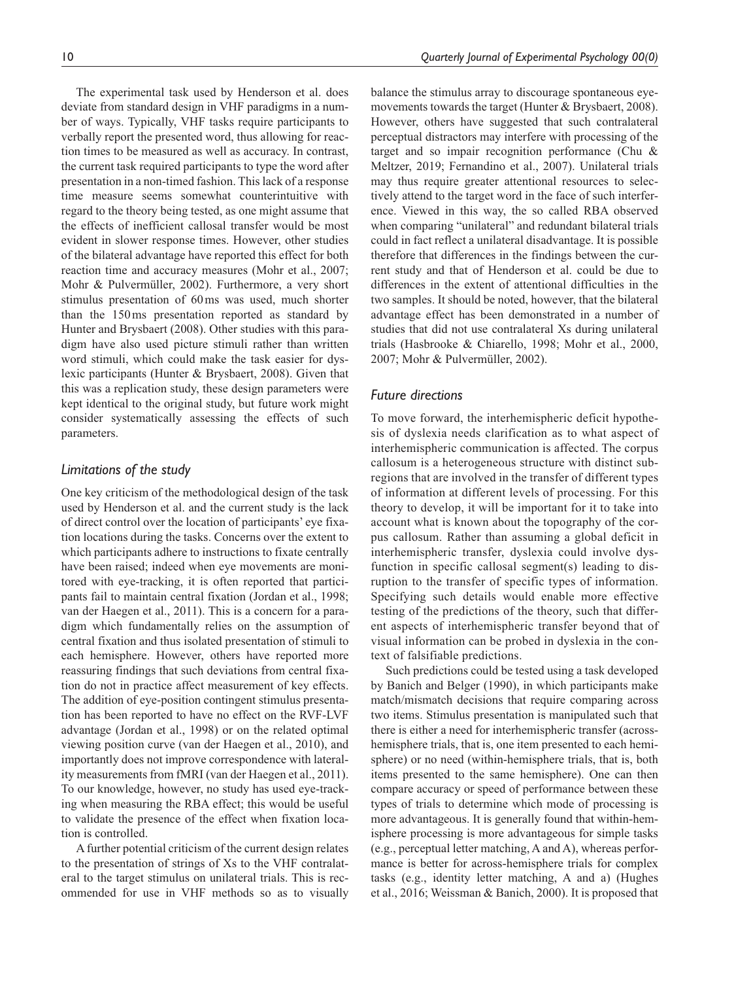The experimental task used by Henderson et al. does deviate from standard design in VHF paradigms in a number of ways. Typically, VHF tasks require participants to verbally report the presented word, thus allowing for reaction times to be measured as well as accuracy. In contrast, the current task required participants to type the word after presentation in a non-timed fashion. This lack of a response time measure seems somewhat counterintuitive with regard to the theory being tested, as one might assume that the effects of inefficient callosal transfer would be most evident in slower response times. However, other studies of the bilateral advantage have reported this effect for both reaction time and accuracy measures (Mohr et al., 2007; Mohr & Pulvermüller, 2002). Furthermore, a very short stimulus presentation of 60ms was used, much shorter than the 150ms presentation reported as standard by Hunter and Brysbaert (2008). Other studies with this paradigm have also used picture stimuli rather than written word stimuli, which could make the task easier for dyslexic participants (Hunter & Brysbaert, 2008). Given that this was a replication study, these design parameters were kept identical to the original study, but future work might consider systematically assessing the effects of such parameters.

# *Limitations of the study*

One key criticism of the methodological design of the task used by Henderson et al. and the current study is the lack of direct control over the location of participants' eye fixation locations during the tasks. Concerns over the extent to which participants adhere to instructions to fixate centrally have been raised; indeed when eye movements are monitored with eye-tracking, it is often reported that participants fail to maintain central fixation (Jordan et al., 1998; van der Haegen et al., 2011). This is a concern for a paradigm which fundamentally relies on the assumption of central fixation and thus isolated presentation of stimuli to each hemisphere. However, others have reported more reassuring findings that such deviations from central fixation do not in practice affect measurement of key effects. The addition of eye-position contingent stimulus presentation has been reported to have no effect on the RVF-LVF advantage (Jordan et al., 1998) or on the related optimal viewing position curve (van der Haegen et al., 2010), and importantly does not improve correspondence with laterality measurements from fMRI (van der Haegen et al., 2011). To our knowledge, however, no study has used eye-tracking when measuring the RBA effect; this would be useful to validate the presence of the effect when fixation location is controlled.

A further potential criticism of the current design relates to the presentation of strings of Xs to the VHF contralateral to the target stimulus on unilateral trials. This is recommended for use in VHF methods so as to visually balance the stimulus array to discourage spontaneous eyemovements towards the target (Hunter & Brysbaert, 2008). However, others have suggested that such contralateral perceptual distractors may interfere with processing of the target and so impair recognition performance (Chu & Meltzer, 2019; Fernandino et al., 2007). Unilateral trials may thus require greater attentional resources to selectively attend to the target word in the face of such interference. Viewed in this way, the so called RBA observed when comparing "unilateral" and redundant bilateral trials could in fact reflect a unilateral disadvantage. It is possible therefore that differences in the findings between the current study and that of Henderson et al. could be due to differences in the extent of attentional difficulties in the two samples. It should be noted, however, that the bilateral advantage effect has been demonstrated in a number of studies that did not use contralateral Xs during unilateral trials (Hasbrooke & Chiarello, 1998; Mohr et al., 2000, 2007; Mohr & Pulvermüller, 2002).

# *Future directions*

To move forward, the interhemispheric deficit hypothesis of dyslexia needs clarification as to what aspect of interhemispheric communication is affected. The corpus callosum is a heterogeneous structure with distinct subregions that are involved in the transfer of different types of information at different levels of processing. For this theory to develop, it will be important for it to take into account what is known about the topography of the corpus callosum. Rather than assuming a global deficit in interhemispheric transfer, dyslexia could involve dysfunction in specific callosal segment(s) leading to disruption to the transfer of specific types of information. Specifying such details would enable more effective testing of the predictions of the theory, such that different aspects of interhemispheric transfer beyond that of visual information can be probed in dyslexia in the context of falsifiable predictions.

Such predictions could be tested using a task developed by Banich and Belger (1990), in which participants make match/mismatch decisions that require comparing across two items. Stimulus presentation is manipulated such that there is either a need for interhemispheric transfer (acrosshemisphere trials, that is, one item presented to each hemisphere) or no need (within-hemisphere trials, that is, both items presented to the same hemisphere). One can then compare accuracy or speed of performance between these types of trials to determine which mode of processing is more advantageous. It is generally found that within-hemisphere processing is more advantageous for simple tasks (e.g., perceptual letter matching, A and A), whereas performance is better for across-hemisphere trials for complex tasks (e.g., identity letter matching, A and a) (Hughes et al., 2016; Weissman & Banich, 2000). It is proposed that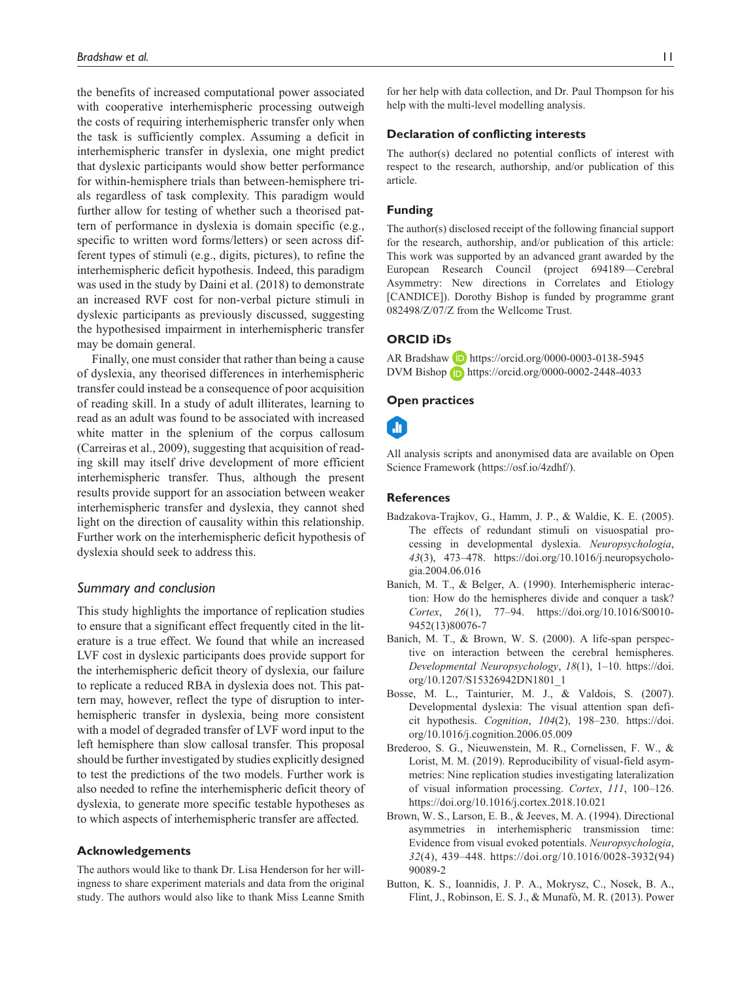the benefits of increased computational power associated with cooperative interhemispheric processing outweigh the costs of requiring interhemispheric transfer only when the task is sufficiently complex. Assuming a deficit in interhemispheric transfer in dyslexia, one might predict that dyslexic participants would show better performance for within-hemisphere trials than between-hemisphere trials regardless of task complexity. This paradigm would further allow for testing of whether such a theorised pattern of performance in dyslexia is domain specific (e.g., specific to written word forms/letters) or seen across different types of stimuli (e.g., digits, pictures), to refine the interhemispheric deficit hypothesis. Indeed, this paradigm was used in the study by Daini et al. (2018) to demonstrate an increased RVF cost for non-verbal picture stimuli in dyslexic participants as previously discussed, suggesting the hypothesised impairment in interhemispheric transfer may be domain general.

Finally, one must consider that rather than being a cause of dyslexia, any theorised differences in interhemispheric transfer could instead be a consequence of poor acquisition of reading skill. In a study of adult illiterates, learning to read as an adult was found to be associated with increased white matter in the splenium of the corpus callosum (Carreiras et al., 2009), suggesting that acquisition of reading skill may itself drive development of more efficient interhemispheric transfer. Thus, although the present results provide support for an association between weaker interhemispheric transfer and dyslexia, they cannot shed light on the direction of causality within this relationship. Further work on the interhemispheric deficit hypothesis of dyslexia should seek to address this.

### *Summary and conclusion*

This study highlights the importance of replication studies to ensure that a significant effect frequently cited in the literature is a true effect. We found that while an increased LVF cost in dyslexic participants does provide support for the interhemispheric deficit theory of dyslexia, our failure to replicate a reduced RBA in dyslexia does not. This pattern may, however, reflect the type of disruption to interhemispheric transfer in dyslexia, being more consistent with a model of degraded transfer of LVF word input to the left hemisphere than slow callosal transfer. This proposal should be further investigated by studies explicitly designed to test the predictions of the two models. Further work is also needed to refine the interhemispheric deficit theory of dyslexia, to generate more specific testable hypotheses as to which aspects of interhemispheric transfer are affected.

### **Acknowledgements**

The authors would like to thank Dr. Lisa Henderson for her willingness to share experiment materials and data from the original study. The authors would also like to thank Miss Leanne Smith

for her help with data collection, and Dr. Paul Thompson for his help with the multi-level modelling analysis.

#### **Declaration of conflicting interests**

The author(s) declared no potential conflicts of interest with respect to the research, authorship, and/or publication of this article.

### **Funding**

The author(s) disclosed receipt of the following financial support for the research, authorship, and/or publication of this article: This work was supported by an advanced grant awarded by the European Research Council (project 694189—Cerebral Asymmetry: New directions in Correlates and Etiology [CANDICE]). Dorothy Bishop is funded by programme grant 082498/Z/07/Z from the Wellcome Trust.

# **ORCID iDs**

AR Bradshaw D <https://orcid.org/0000-0003-0138-5945> DVM Bishop <https://orcid.org/0000-0002-2448-4033>

#### **Open practices**

# m

All analysis scripts and anonymised data are available on Open Science Framework ([https://osf.io/4zdhf/\)](https://osf.io/4zdhf/).

#### **References**

- Badzakova-Trajkov, G., Hamm, J. P., & Waldie, K. E. (2005). The effects of redundant stimuli on visuospatial processing in developmental dyslexia. *Neuropsychologia*, *43*(3), 473–478. [https://doi.org/10.1016/j.neuropsycholo](https://doi.org/10.1016/j.neuropsychologia.2004.06.016)[gia.2004.06.016](https://doi.org/10.1016/j.neuropsychologia.2004.06.016)
- Banich, M. T., & Belger, A. (1990). Interhemispheric interaction: How do the hemispheres divide and conquer a task? *Cortex*, *26*(1), 77–94. [https://doi.org/10.1016/S0010-](https://doi.org/10.1016/S0010-9452(13)80076-7) [9452\(13\)80076-7](https://doi.org/10.1016/S0010-9452(13)80076-7)
- Banich, M. T., & Brown, W. S. (2000). A life-span perspective on interaction between the cerebral hemispheres. *Developmental Neuropsychology*, *18*(1), 1–10. [https://doi.](https://doi.org/10.1207/S15326942DN1801_1) [org/10.1207/S15326942DN1801\\_1](https://doi.org/10.1207/S15326942DN1801_1)
- Bosse, M. L., Tainturier, M. J., & Valdois, S. (2007). Developmental dyslexia: The visual attention span deficit hypothesis. *Cognition*, *104*(2), 198–230. [https://doi.](https://doi.org/10.1016/j.cognition.2006.05.009) [org/10.1016/j.cognition.2006.05.009](https://doi.org/10.1016/j.cognition.2006.05.009)
- Brederoo, S. G., Nieuwenstein, M. R., Cornelissen, F. W., & Lorist, M. M. (2019). Reproducibility of visual-field asymmetries: Nine replication studies investigating lateralization of visual information processing. *Cortex*, *111*, 100–126. <https://doi.org/10.1016/j.cortex.2018.10.021>
- Brown, W. S., Larson, E. B., & Jeeves, M. A. (1994). Directional asymmetries in interhemispheric transmission time: Evidence from visual evoked potentials. *Neuropsychologia*, *32*(4), 439–448. [https://doi.org/10.1016/0028-3932\(94\)](https://doi.org/10.1016/0028-3932(94)90089-2) [90089-2](https://doi.org/10.1016/0028-3932(94)90089-2)
- Button, K. S., Ioannidis, J. P. A., Mokrysz, C., Nosek, B. A., Flint, J., Robinson, E. S. J., & Munafò, M. R. (2013). Power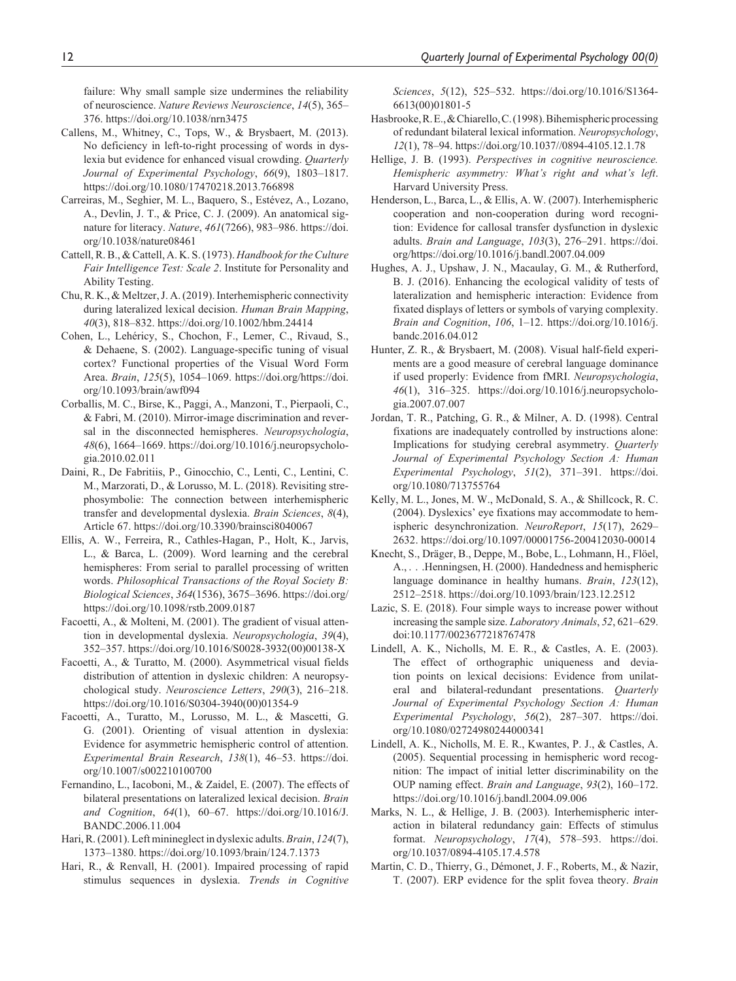failure: Why small sample size undermines the reliability of neuroscience. *Nature Reviews Neuroscience*, *14*(5), 365– 376. <https://doi.org/10.1038/nrn3475>

- Callens, M., Whitney, C., Tops, W., & Brysbaert, M. (2013). No deficiency in left-to-right processing of words in dyslexia but evidence for enhanced visual crowding. *Quarterly Journal of Experimental Psychology*, *66*(9), 1803–1817. <https://doi.org/10.1080/17470218.2013.766898>
- Carreiras, M., Seghier, M. L., Baquero, S., Estévez, A., Lozano, A., Devlin, J. T., & Price, C. J. (2009). An anatomical signature for literacy. *Nature*, *461*(7266), 983–986. [https://doi.](https://doi.org/10.1038/nature08461) [org/10.1038/nature08461](https://doi.org/10.1038/nature08461)
- Cattell, R. B., & Cattell, A. K. S. (1973). *Handbook for the Culture Fair Intelligence Test: Scale 2*. Institute for Personality and Ability Testing.
- Chu, R. K., & Meltzer, J. A. (2019). Interhemispheric connectivity during lateralized lexical decision. *Human Brain Mapping*, *40*(3), 818–832. <https://doi.org/10.1002/hbm.24414>
- Cohen, L., Lehéricy, S., Chochon, F., Lemer, C., Rivaud, S., & Dehaene, S. (2002). Language-specific tuning of visual cortex? Functional properties of the Visual Word Form Area. *Brain*, *125*(5), 1054–1069. [https://doi.org/https://doi.](https://doi.org/https://doi.org/10.1093/brain/awf094) [org/10.1093/brain/awf094](https://doi.org/https://doi.org/10.1093/brain/awf094)
- Corballis, M. C., Birse, K., Paggi, A., Manzoni, T., Pierpaoli, C., & Fabri, M. (2010). Mirror-image discrimination and reversal in the disconnected hemispheres. *Neuropsychologia*, *48*(6), 1664–1669. [https://doi.org/10.1016/j.neuropsycholo](https://doi.org/10.1016/j.neuropsychologia.2010.02.011)[gia.2010.02.011](https://doi.org/10.1016/j.neuropsychologia.2010.02.011)
- Daini, R., De Fabritiis, P., Ginocchio, C., Lenti, C., Lentini, C. M., Marzorati, D., & Lorusso, M. L. (2018). Revisiting strephosymbolie: The connection between interhemispheric transfer and developmental dyslexia. *Brain Sciences*, *8*(4), Article 67.<https://doi.org/10.3390/brainsci8040067>
- Ellis, A. W., Ferreira, R., Cathles-Hagan, P., Holt, K., Jarvis, L., & Barca, L. (2009). Word learning and the cerebral hemispheres: From serial to parallel processing of written words. *Philosophical Transactions of the Royal Society B: Biological Sciences*, *364*(1536), 3675–3696. [https://doi.org/](https://doi.org/https://doi.org/10.1098/rstb.2009.0187) [https://doi.org/10.1098/rstb.2009.0187](https://doi.org/https://doi.org/10.1098/rstb.2009.0187)
- Facoetti, A., & Molteni, M. (2001). The gradient of visual attention in developmental dyslexia. *Neuropsychologia*, *39*(4), 352–357. [https://doi.org/10.1016/S0028-3932\(00\)00138-X](https://doi.org/10.1016/S0028-3932(00)00138-X)
- Facoetti, A., & Turatto, M. (2000). Asymmetrical visual fields distribution of attention in dyslexic children: A neuropsychological study. *Neuroscience Letters*, *290*(3), 216–218. [https://doi.org/10.1016/S0304-3940\(00\)01354-9](https://doi.org/10.1016/S0304-3940(00)01354-9)
- Facoetti, A., Turatto, M., Lorusso, M. L., & Mascetti, G. G. (2001). Orienting of visual attention in dyslexia: Evidence for asymmetric hemispheric control of attention. *Experimental Brain Research*, *138*(1), 46–53. [https://doi.](https://doi.org/10.1007/s002210100700) [org/10.1007/s002210100700](https://doi.org/10.1007/s002210100700)
- Fernandino, L., Iacoboni, M., & Zaidel, E. (2007). The effects of bilateral presentations on lateralized lexical decision. *Brain and Cognition*, *64*(1), 60–67. [https://doi.org/10.1016/J.](https://doi.org/10.1016/J.BANDC.2006.11.004) [BANDC.2006.11.004](https://doi.org/10.1016/J.BANDC.2006.11.004)
- Hari, R. (2001). Left minineglect in dyslexic adults. *Brain*, *124*(7), 1373–1380. <https://doi.org/10.1093/brain/124.7.1373>
- Hari, R., & Renvall, H. (2001). Impaired processing of rapid stimulus sequences in dyslexia. *Trends in Cognitive*

*Sciences*, *5*(12), 525–532. [https://doi.org/10.1016/S1364-](https://doi.org/10.1016/S1364-6613(00)01801-5) [6613\(00\)01801-5](https://doi.org/10.1016/S1364-6613(00)01801-5)

- Hasbrooke, R. E., & Chiarello, C. (1998). Bihemispheric processing of redundant bilateral lexical information. *Neuropsychology*, *12*(1), 78–94. <https://doi.org/10.1037//0894-4105.12.1.78>
- Hellige, J. B. (1993). *Perspectives in cognitive neuroscience. Hemispheric asymmetry: What's right and what's left*. Harvard University Press.
- Henderson, L., Barca, L., & Ellis, A. W. (2007). Interhemispheric cooperation and non-cooperation during word recognition: Evidence for callosal transfer dysfunction in dyslexic adults. *Brain and Language*, *103*(3), 276–291. [https://doi.](https://doi.org/https://doi.org/10.1016/j.bandl.2007.04.009) [org/https://doi.org/10.1016/j.bandl.2007.04.009](https://doi.org/https://doi.org/10.1016/j.bandl.2007.04.009)
- Hughes, A. J., Upshaw, J. N., Macaulay, G. M., & Rutherford, B. J. (2016). Enhancing the ecological validity of tests of lateralization and hemispheric interaction: Evidence from fixated displays of letters or symbols of varying complexity. *Brain and Cognition*, *106*, 1–12. [https://doi.org/10.1016/j.](https://doi.org/10.1016/j.bandc.2016.04.012) [bandc.2016.04.012](https://doi.org/10.1016/j.bandc.2016.04.012)
- Hunter, Z. R., & Brysbaert, M. (2008). Visual half-field experiments are a good measure of cerebral language dominance if used properly: Evidence from fMRI. *Neuropsychologia*, *46*(1), 316–325. [https://doi.org/10.1016/j.neuropsycholo](https://doi.org/10.1016/j.neuropsychologia.2007.07.007)[gia.2007.07.007](https://doi.org/10.1016/j.neuropsychologia.2007.07.007)
- Jordan, T. R., Patching, G. R., & Milner, A. D. (1998). Central fixations are inadequately controlled by instructions alone: Implications for studying cerebral asymmetry. *Quarterly Journal of Experimental Psychology Section A: Human Experimental Psychology*, *51*(2), 371–391. [https://doi.](https://doi.org/10.1080/713755764) [org/10.1080/713755764](https://doi.org/10.1080/713755764)
- Kelly, M. L., Jones, M. W., McDonald, S. A., & Shillcock, R. C. (2004). Dyslexics' eye fixations may accommodate to hemispheric desynchronization. *NeuroReport*, *15*(17), 2629– 2632. <https://doi.org/10.1097/00001756-200412030-00014>
- Knecht, S., Dräger, B., Deppe, M., Bobe, L., Lohmann, H., Flöel, A., . . .Henningsen, H. (2000). Handedness and hemispheric language dominance in healthy humans. *Brain*, *123*(12), 2512–2518.<https://doi.org/10.1093/brain/123.12.2512>
- Lazic, S. E. (2018). Four simple ways to increase power without increasing the sample size. *Laboratory Animals*, *52*, 621–629. doi:10.1177/0023677218767478
- Lindell, A. K., Nicholls, M. E. R., & Castles, A. E. (2003). The effect of orthographic uniqueness and deviation points on lexical decisions: Evidence from unilateral and bilateral-redundant presentations. *Quarterly Journal of Experimental Psychology Section A: Human Experimental Psychology*, *56*(2), 287–307. [https://doi.](https://doi.org/10.1080/02724980244000341) [org/10.1080/02724980244000341](https://doi.org/10.1080/02724980244000341)
- Lindell, A. K., Nicholls, M. E. R., Kwantes, P. J., & Castles, A. (2005). Sequential processing in hemispheric word recognition: The impact of initial letter discriminability on the OUP naming effect. *Brain and Language*, *93*(2), 160–172. <https://doi.org/10.1016/j.bandl.2004.09.006>
- Marks, N. L., & Hellige, J. B. (2003). Interhemispheric interaction in bilateral redundancy gain: Effects of stimulus format. *Neuropsychology*, *17*(4), 578–593. [https://doi.](https://doi.org/10.1037/0894-4105.17.4.578) [org/10.1037/0894-4105.17.4.578](https://doi.org/10.1037/0894-4105.17.4.578)
- Martin, C. D., Thierry, G., Démonet, J. F., Roberts, M., & Nazir, T. (2007). ERP evidence for the split fovea theory. *Brain*